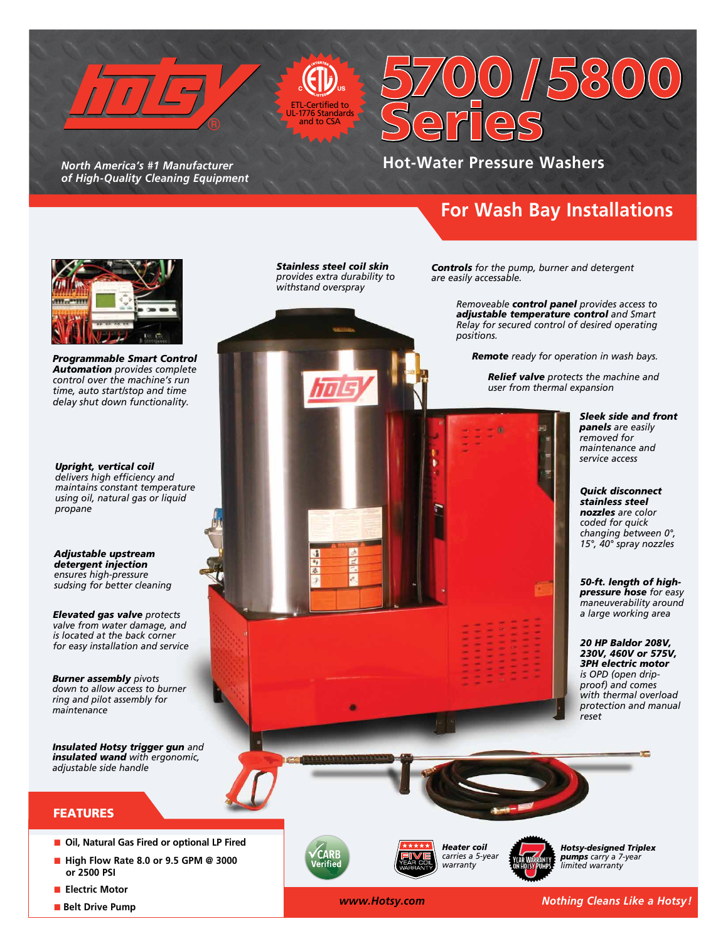

*North America's #1 Manufacturer of High-Quality Cleaning Equipment* 

 $ertified to$ Standards and to CSA

# **Hot-Water Pressure Washers**

/

## **For Wash Bay Installations**

 $\overline{\overset{\circ}{\circ}}$ 



*Programmable Smart Control Automation provides complete control over the machine's run time, auto start/stop and time delay shut down functionality.*

*Upright, vertical coil delivers high efficiency and maintains constant temperature using oil, natural gas or liquid propane*

*Adjustable upstream detergent injection ensures high-pressure sudsing for better cleaning*

*Elevated gas valve protects valve from water damage, and is located at the back corner for easy installation and service*

*Burner assembly pivots down to allow access to burner ring and pilot assembly for maintenance*

*Insulated Hotsy trigger gun and insulated wand with ergonomic, adjustable side handle*

#### FEATURES

- **n** Oil, Natural Gas Fired or optional LP Fired
- **n** High Flow Rate 8.0 or 9.5 GPM @ 3000  **or 2500 PSI**
- **n Electric Motor**
- **n** Belt Drive Pump

*Stainless steel coil skin provides extra durability to withstand overspray*



*Controls for the pump, burner and detergent are easily accessable.*

> *Removeable control panel provides access to adjustable temperature control and Smart Relay for secured control of desired operating positions.*

 *Remote ready for operation in wash bays.*

*Relief valve protects the machine and user from thermal expansion*



*Sleek side and front panels are easily removed for maintenance and service access*

*Quick disconnect stainless steel nozzles are color coded for quick changing between 0°, 15°, 40° spray nozzles*

*50-ft. length of highpressure hose for easy maneuverability around a large working area*

*20 HP Baldor 208V, 230V, 460V or 575V, 3PH electric motor is OPD (open dripproof) and comes with thermal overload protection and manual reset*



*Heater coil carries a 5-year warranty*

*Hotsy-designed Triplex pumps carry a 7-year limited warranty*

*WWW.Hotsy.com* Mothing Cleans Like a Hotsy!